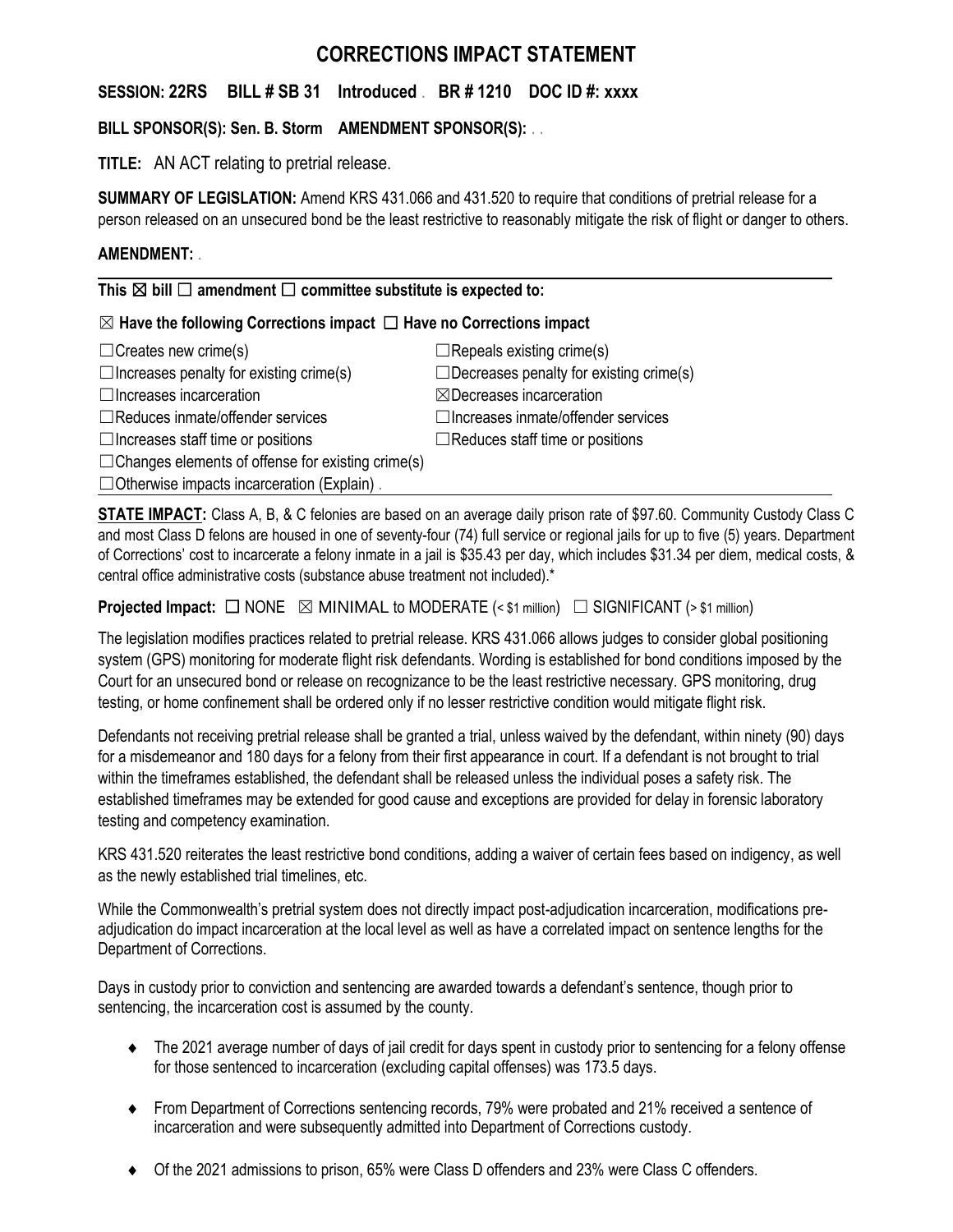# **CORRECTIONS IMPACT STATEMENT**

**SESSION: 22RS BILL # SB 31 Introduced** . **BR # 1210 DOC ID #: xxxx**

**BILL SPONSOR(S): Sen. B. Storm AMENDMENT SPONSOR(S):** . .

**TITLE:** AN ACT relating to pretrial release.

**SUMMARY OF LEGISLATION:** Amend KRS 431.066 and 431.520 to require that conditions of pretrial release for a person released on an unsecured bond be the least restrictive to reasonably mitigate the risk of flight or danger to others.

## **AMENDMENT:** .

**This** ☒ **bill** ☐ **amendment** ☐ **committee substitute is expected to:**

### ☒ **Have the following Corrections impact** ☐ **Have no Corrections impact**

| $\Box$ Creates new crime(s)                              | $\Box$ Repeals existing crime(s)               |
|----------------------------------------------------------|------------------------------------------------|
| $\Box$ Increases penalty for existing crime(s)           | $\Box$ Decreases penalty for existing crime(s) |
| $\Box$ Increases incarceration                           | $\boxtimes$ Decreases incarceration            |
| $\Box$ Reduces inmate/offender services                  | $\Box$ Increases inmate/offender services      |
| $\Box$ Increases staff time or positions                 | $\Box$ Reduces staff time or positions         |
| $\Box$ Changes elements of offense for existing crime(s) |                                                |
| $\Box$ Otherwise impacts incarceration (Explain).        |                                                |

**STATE IMPACT:** Class A, B, & C felonies are based on an average daily prison rate of \$97.60. Community Custody Class C and most Class D felons are housed in one of seventy-four (74) full service or regional jails for up to five (5) years. Department of Corrections' cost to incarcerate a felony inmate in a jail is \$35.43 per day, which includes \$31.34 per diem, medical costs, & central office administrative costs (substance abuse treatment not included).\*

**Projected Impact:**  $\Box$  NONE  $\boxtimes$  MINIMAL to MODERATE (< \$1 million)  $\Box$  SIGNIFICANT (> \$1 million)

The legislation modifies practices related to pretrial release. KRS 431.066 allows judges to consider global positioning system (GPS) monitoring for moderate flight risk defendants. Wording is established for bond conditions imposed by the Court for an unsecured bond or release on recognizance to be the least restrictive necessary. GPS monitoring, drug testing, or home confinement shall be ordered only if no lesser restrictive condition would mitigate flight risk.

Defendants not receiving pretrial release shall be granted a trial, unless waived by the defendant, within ninety (90) days for a misdemeanor and 180 days for a felony from their first appearance in court. If a defendant is not brought to trial within the timeframes established, the defendant shall be released unless the individual poses a safety risk. The established timeframes may be extended for good cause and exceptions are provided for delay in forensic laboratory testing and competency examination.

KRS 431.520 reiterates the least restrictive bond conditions, adding a waiver of certain fees based on indigency, as well as the newly established trial timelines, etc.

While the Commonwealth's pretrial system does not directly impact post-adjudication incarceration, modifications preadjudication do impact incarceration at the local level as well as have a correlated impact on sentence lengths for the Department of Corrections.

Days in custody prior to conviction and sentencing are awarded towards a defendant's sentence, though prior to sentencing, the incarceration cost is assumed by the county.

- The 2021 average number of days of jail credit for days spent in custody prior to sentencing for a felony offense for those sentenced to incarceration (excluding capital offenses) was 173.5 days.
- From Department of Corrections sentencing records, 79% were probated and 21% received a sentence of incarceration and were subsequently admitted into Department of Corrections custody.
- Of the 2021 admissions to prison, 65% were Class D offenders and 23% were Class C offenders.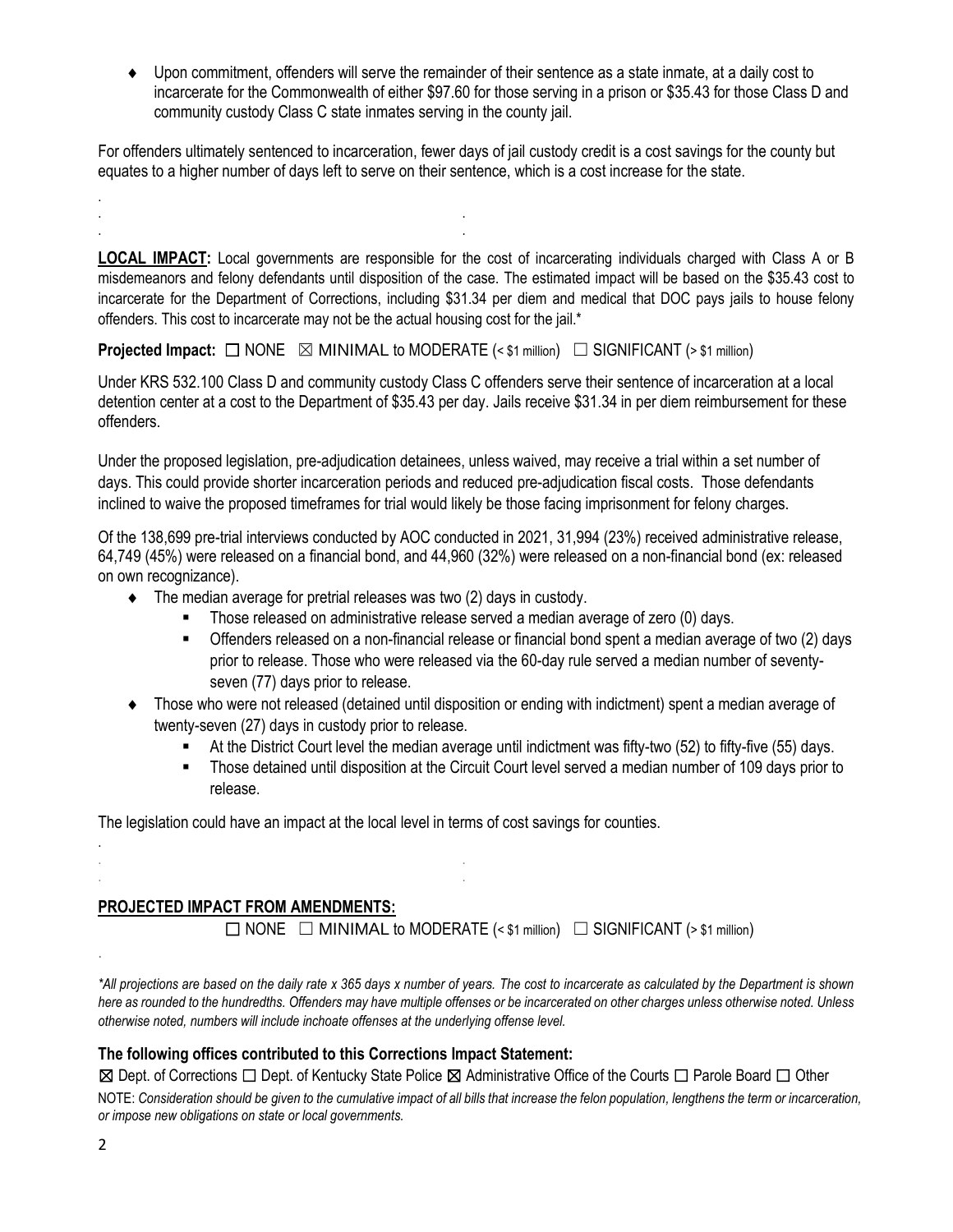Upon commitment, offenders will serve the remainder of their sentence as a state inmate, at a daily cost to incarcerate for the Commonwealth of either \$97.60 for those serving in a prison or \$35.43 for those Class D and community custody Class C state inmates serving in the county jail.

For offenders ultimately sentenced to incarceration, fewer days of jail custody credit is a cost savings for the county but equates to a higher number of days left to serve on their sentence, which is a cost increase for the state.

**LOCAL IMPACT:** Local governments are responsible for the cost of incarcerating individuals charged with Class A or B misdemeanors and felony defendants until disposition of the case. The estimated impact will be based on the \$35.43 cost to incarcerate for the Department of Corrections, including \$31.34 per diem and medical that DOC pays jails to house felony offenders. This cost to incarcerate may not be the actual housing cost for the jail.\*

**Projected Impact:**  $\Box$  NONE  $\boxtimes$  MINIMAL to MODERATE (< \$1 million)  $\Box$  SIGNIFICANT (> \$1 million)

Under KRS 532.100 Class D and community custody Class C offenders serve their sentence of incarceration at a local detention center at a cost to the Department of \$35.43 per day. Jails receive \$31.34 in per diem reimbursement for these offenders.

Under the proposed legislation, pre-adjudication detainees, unless waived, may receive a trial within a set number of days. This could provide shorter incarceration periods and reduced pre-adjudication fiscal costs. Those defendants inclined to waive the proposed timeframes for trial would likely be those facing imprisonment for felony charges.

Of the 138,699 pre-trial interviews conducted by AOC conducted in 2021, 31,994 (23%) received administrative release, 64,749 (45%) were released on a financial bond, and 44,960 (32%) were released on a non-financial bond (ex: released on own recognizance).

 $\bullet$  The median average for pretrial releases was two (2) days in custody.

. . . .

- Those released on administrative release served a median average of zero (0) days.
- Offenders released on a non-financial release or financial bond spent a median average of two (2) days prior to release. Those who were released via the 60-day rule served a median number of seventyseven (77) days prior to release.
- Those who were not released (detained until disposition or ending with indictment) spent a median average of twenty-seven (27) days in custody prior to release.
	- At the District Court level the median average until indictment was fifty-two (52) to fifty-five (55) days.
	- Those detained until disposition at the Circuit Court level served a median number of 109 days prior to release.

The legislation could have an impact at the local level in terms of cost savings for counties.

### **PROJECTED IMPACT FROM AMENDMENTS:**

. . . .

 $\Box$  NONE  $\Box$  MINIMAL to MODERATE (< \$1 million)  $\Box$  SIGNIFICANT (> \$1 million)

*\*All projections are based on the daily rate x 365 days x number of years. The cost to incarcerate as calculated by the Department is shown here as rounded to the hundredths. Offenders may have multiple offenses or be incarcerated on other charges unless otherwise noted. Unless otherwise noted, numbers will include inchoate offenses at the underlying offense level.*

#### **The following offices contributed to this Corrections Impact Statement:**

☒ Dept. of Corrections ☐ Dept. of Kentucky State Police ☒ Administrative Office of the Courts ☐ Parole Board ☐ Other

NOTE: *Consideration should be given to the cumulative impact of all bills that increase the felon population, lengthens the term or incarceration, or impose new obligations on state or local governments.* 

.

.

.